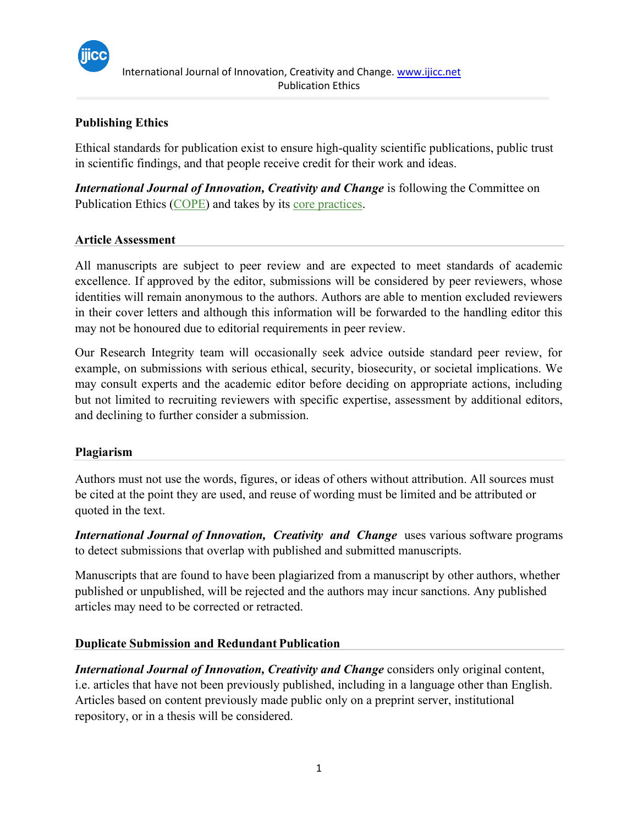

# **Publishing Ethics**

Ethical standards for publication exist to ensure high-quality scientific publications, public trust in scientific findings, and that people receive credit for their work and ideas.

*International Journal of Innovation, Creativity and Change* is following the Committee on Publication Ethics [\(COPE\)](http://publicationethics.org/) and takes by its [core practices.](https://publicationethics.org/core-practices)

#### **Article Assessment**

All manuscripts are subject to peer review and are expected to meet standards of academic excellence. If approved by the editor, submissions will be considered by peer reviewers, whose identities will remain anonymous to the authors. Authors are able to mention excluded reviewers in their cover letters and although this information will be forwarded to the handling editor this may not be honoured due to editorial requirements in peer review.

Our Research Integrity team will occasionally seek advice outside standard peer review, for example, on submissions with serious ethical, security, biosecurity, or societal implications. We may consult experts and the academic editor before deciding on appropriate actions, including but not limited to recruiting reviewers with specific expertise, assessment by additional editors, and declining to further consider a submission.

#### **Plagiarism**

Authors must not use the words, figures, or ideas of others without attribution. All sources must be cited at the point they are used, and reuse of wording must be limited and be attributed or quoted in the text.

*International Journal of Innovation, Creativity and Change uses various software programs* to detect submissions that overlap with published and submitted manuscripts.

Manuscripts that are found to have been plagiarized from a manuscript by other authors, whether published or unpublished, will be rejected and the authors may incur sanctions. Any published articles may need to be corrected or retracted.

## **Duplicate Submission and Redundant Publication**

*International Journal of Innovation, Creativity and Change* considers only original content, i.e. articles that have not been previously published, including in a language other than English. Articles based on content previously made public only on a preprint server, institutional repository, or in a thesis will be considered.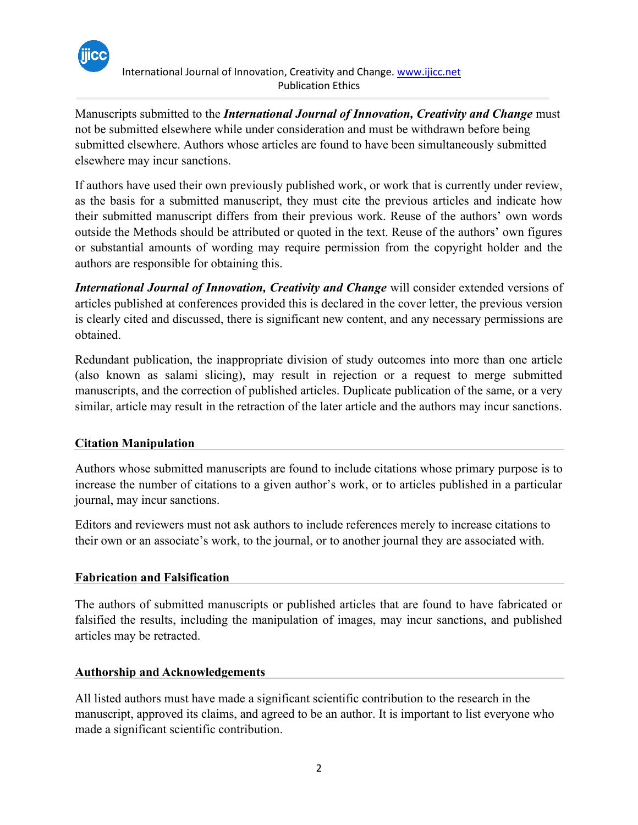

International Journal of Innovation, Creativity and Change. [www.ijicc.net](http://www.ijicc.net/) Publication Ethics

Manuscripts submitted to the *International Journal of Innovation, Creativity and Change* must not be submitted elsewhere while under consideration and must be withdrawn before being submitted elsewhere. Authors whose articles are found to have been simultaneously submitted elsewhere may incur sanctions.

If authors have used their own previously published work, or work that is currently under review, as the basis for a submitted manuscript, they must cite the previous articles and indicate how their submitted manuscript differs from their previous work. Reuse of the authors' own words outside the Methods should be attributed or quoted in the text. Reuse of the authors' own figures or substantial amounts of wording may require permission from the copyright holder and the authors are responsible for obtaining this.

*International Journal of Innovation, Creativity and Change* will consider extended versions of articles published at conferences provided this is declared in the cover letter, the previous version is clearly cited and discussed, there is significant new content, and any necessary permissions are obtained.

Redundant publication, the inappropriate division of study outcomes into more than one article (also known as salami slicing), may result in rejection or a request to merge submitted manuscripts, and the correction of published articles. Duplicate publication of the same, or a very similar, article may result in the retraction of the later article and the authors may incur sanctions.

## **Citation Manipulation**

Authors whose submitted manuscripts are found to include citations whose primary purpose is to increase the number of citations to a given author's work, or to articles published in a particular journal, may incur sanctions.

[Editors and reviewers m](https://publicationethics.org/resources/guidelines?f%5B0%5D=im_field_classifications%3A2779)ust not ask authors to include references merely to increase citations to their own or an associate's work, to the journal, or to another journal they are associated with.

## **Fabrication and Falsification**

The authors of submitted manuscripts or published articles that are found to have fabricated or falsified the results, including the manipulation of images, may incur sanctions, and published articles may be retracted.

## **Authorship and Acknowledgements**

All listed authors must have made a significant scientific contribution to the research in the manuscript, approved its claims, and agreed to be an author. It is important to list everyone who made a significant scientific contribution.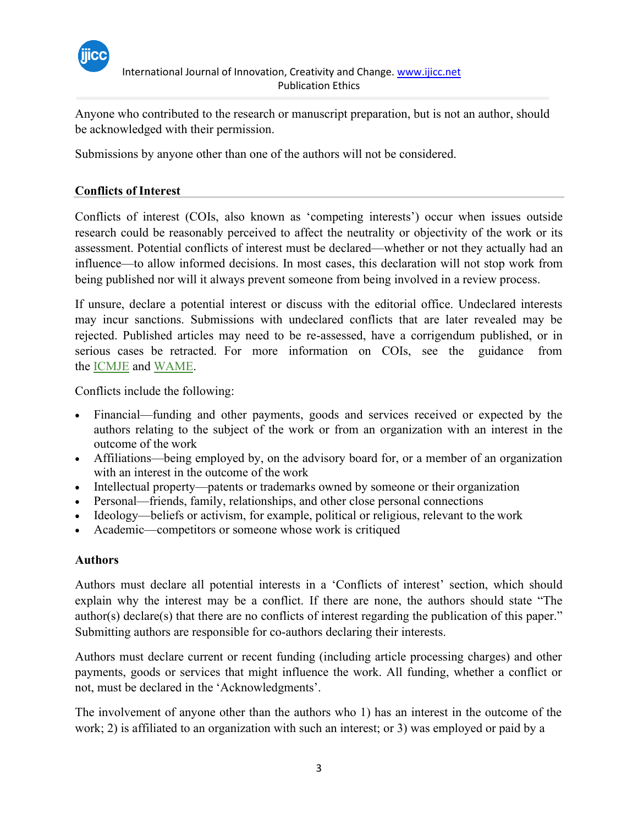

Anyone who contributed to the research or manuscript preparation, but is not an author, should be acknowledged with their permission.

Submissions by anyone other than one of the authors will not be considered.

# **Conflicts of Interest**

Conflicts of interest (COIs, also known as 'competing interests') occur when issues outside research could be reasonably perceived to affect the neutrality or objectivity of the work or its assessment. Potential conflicts of interest must be declared—whether or not they actually had an influence—to allow informed decisions. In most cases, this declaration will not stop work from being published nor will it always prevent someone from being involved in a review process.

If unsure, declare a potential interest or discuss with the editorial office. Undeclared interests may incur sanctions. Submissions with undeclared conflicts that are later revealed may be rejected. Published articles may need to be re-assessed, have a corrigendum published, or in serious cases be retracted. For more information on COIs, see the guidance from the [ICMJE](http://icmje.org/recommendations/browse/roles-and-responsibilities/author-responsibilities--conflicts-of-interest.html) and [WAME.](http://www.wame.org/about/conflict-of-interest-in-peer-reviewed-medical)

Conflicts include the following:

- Financial—funding and other payments, goods and services received or expected by the authors relating to the subject of the work or from an organization with an interest in the outcome of the work
- Affiliations—being employed by, on the advisory board for, or a member of an organization with an interest in the outcome of the work
- Intellectual property—patents or trademarks owned by someone or their organization
- Personal—friends, family, relationships, and other close personal connections
- Ideology—beliefs or activism, for example, political or religious, relevant to the work
- Academic—competitors or someone whose work is critiqued

## **Authors**

Authors must declare all potential interests in a 'Conflicts of interest' section, which should explain why the interest may be a conflict. If there are none, the authors should state "The author(s) declare(s) that there are no conflicts of interest regarding the publication of this paper." Submitting authors are responsible for co-authors declaring their interests.

Authors must declare current or recent funding (including article processing charges) and other payments, goods or services that might influence the work. All funding, whether a conflict or not, must be declared in the 'Acknowledgments'.

The involvement of anyone other than the authors who 1) has an interest in the outcome of the work; 2) is affiliated to an organization with such an interest; or 3) was employed or paid by a